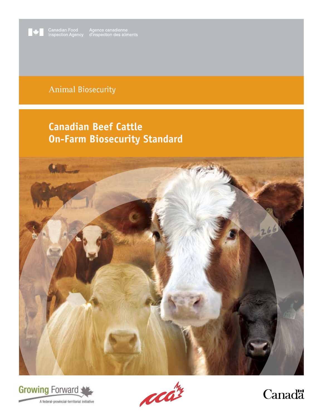

Canadian Food Agence canadienne<br>
Inspection Agency d'inspection des aliments

# Animal Biosecurity

# **Canadian Beef Cattle On-Farm Biosecurity Standard**







Canadä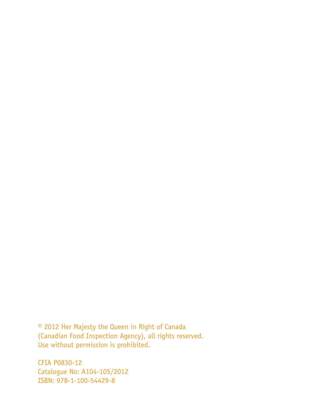© 2012 Her Majesty the Queen in Right of Canada (Canadian Food Inspection Agency), all rights reserved. Use without permission is prohibited.

CFIA P0830-12 Catalogue No: A104-105/2012 ISBN: 978-1-100-54429-8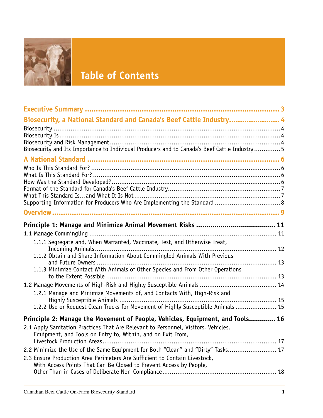

# **Table of Contents**

| Biosecurity, a National Standard and Canada's Beef Cattle Industry 4                                                                                           |
|----------------------------------------------------------------------------------------------------------------------------------------------------------------|
|                                                                                                                                                                |
|                                                                                                                                                                |
| Biosecurity and Its Importance to Individual Producers and to Canada's Beef Cattle Industry 5                                                                  |
|                                                                                                                                                                |
|                                                                                                                                                                |
|                                                                                                                                                                |
|                                                                                                                                                                |
|                                                                                                                                                                |
|                                                                                                                                                                |
|                                                                                                                                                                |
|                                                                                                                                                                |
| 1.1.1 Segregate and, When Warranted, Vaccinate, Test, and Otherwise Treat,                                                                                     |
| 1.1.2 Obtain and Share Information About Commingled Animals With Previous                                                                                      |
| and Future Owners                                                                                                                                              |
| 1.1.3 Minimize Contact With Animals of Other Species and From Other Operations<br>to the Extent Possible                                                       |
|                                                                                                                                                                |
| 1.2.1 Manage and Minimize Movements of, and Contacts With, High-Risk and                                                                                       |
| 1.2.2 Use or Request Clean Trucks for Movement of Highly Susceptible Animals 15                                                                                |
| Principle 2: Manage the Movement of People, Vehicles, Equipment, and Tools 16                                                                                  |
| 2.1 Apply Sanitation Practices That Are Relevant to Personnel, Visitors, Vehicles,                                                                             |
| Equipment, and Tools on Entry to, Within, and on Exit From,                                                                                                    |
|                                                                                                                                                                |
| 2.2 Minimize the Use of the Same Equipment for Both "Clean" and "Dirty" Tasks 17<br>2.3 Ensure Production Area Perimeters Are Sufficient to Contain Livestock, |
| With Access Points That Can Be Closed to Prevent Access by People,                                                                                             |
|                                                                                                                                                                |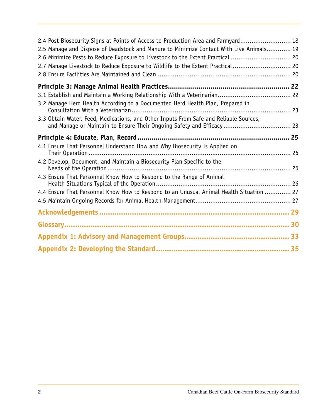| 2.4 Post Biosecurity Signs at Points of Access to Production Area and Farmyard 18                                                                               |  |
|-----------------------------------------------------------------------------------------------------------------------------------------------------------------|--|
| 2.5 Manage and Dispose of Deadstock and Manure to Minimize Contact With Live Animals 19                                                                         |  |
| 2.6 Minimize Pests to Reduce Exposure to Livestock to the Extent Practical  20                                                                                  |  |
| 2.7 Manage Livestock to Reduce Exposure to Wildlife to the Extent Practical 20                                                                                  |  |
|                                                                                                                                                                 |  |
|                                                                                                                                                                 |  |
|                                                                                                                                                                 |  |
| 3.2 Manage Herd Health According to a Documented Herd Health Plan, Prepared in                                                                                  |  |
|                                                                                                                                                                 |  |
| 3.3 Obtain Water, Feed, Medications, and Other Inputs From Safe and Reliable Sources,<br>and Manage or Maintain to Ensure Their Ongoing Safety and Efficacy  23 |  |
|                                                                                                                                                                 |  |
| 4.1 Ensure That Personnel Understand How and Why Biosecurity Is Applied on                                                                                      |  |
| 4.2 Develop, Document, and Maintain a Biosecurity Plan Specific to the                                                                                          |  |
| 4.3 Ensure That Personnel Know How to Respond to the Range of Animal                                                                                            |  |
| 4.4 Ensure That Personnel Know How to Respond to an Unusual Animal Health Situation  27                                                                         |  |
|                                                                                                                                                                 |  |
|                                                                                                                                                                 |  |
|                                                                                                                                                                 |  |
|                                                                                                                                                                 |  |
|                                                                                                                                                                 |  |
|                                                                                                                                                                 |  |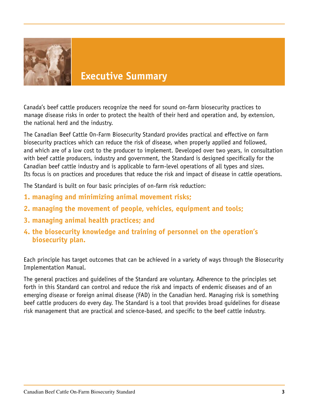

# **Executive Summary**

Canada's beef cattle producers recognize the need for sound on-farm biosecurity practices to manage disease risks in order to protect the health of their herd and operation and, by extension, the national herd and the industry.

The Canadian Beef Cattle On-Farm Biosecurity Standard provides practical and effective on farm biosecurity practices which can reduce the risk of disease, when properly applied and followed, and which are of a low cost to the producer to implement. Developed over two years, in consultation with beef cattle producers, industry and government, the Standard is designed specifically for the Canadian beef cattle industry and is applicable to farm-level operations of all types and sizes. Its focus is on practices and procedures that reduce the risk and impact of disease in cattle operations.

The Standard is built on four basic principles of on-farm risk reduction:

- **1. managing and minimizing animal movement risks;**
- **2. managing the movement of people, vehicles, equipment and tools;**
- **3. managing animal health practices; and**
- **4. the biosecurity knowledge and training of personnel on the operation's biosecurity plan.**

Each principle has target outcomes that can be achieved in a variety of ways through the Biosecurity Implementation Manual.

The general practices and guidelines of the Standard are voluntary. Adherence to the principles set forth in this Standard can control and reduce the risk and impacts of endemic diseases and of an emerging disease or foreign animal disease (FAD) in the Canadian herd. Managing risk is something beef cattle producers do every day. The Standard is a tool that provides broad guidelines for disease risk management that are practical and science-based, and specific to the beef cattle industry.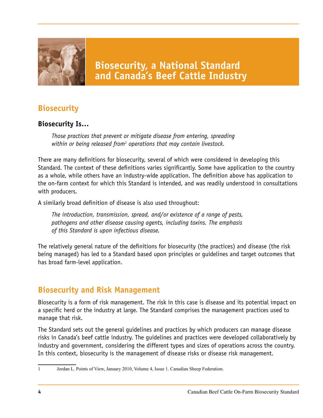

# **Biosecurity**

#### **Biosecurity Is…**

*Those practices that prevent or mitigate disease from entering, spreading*  within or being released from<sup>1</sup> operations that may contain livestock.

There are many definitions for biosecurity, several of which were considered in developing this Standard. The context of these definitions varies significantly. Some have application to the country as a whole, while others have an industry-wide application. The definition above has application to the on-farm context for which this Standard is intended, and was readily understood in consultations with producers.

A similarly broad definition of disease is also used throughout:

*The introduction, transmission, spread, and/or existence of a range of pests, pathogens and other disease causing agents, including toxins. The emphasis of this Standard is upon infectious disease.*

The relatively general nature of the definitions for biosecurity (the practices) and disease (the risk being managed) has led to a Standard based upon principles or guidelines and target outcomes that has broad farm-level application.

## **Biosecurity and Risk Management**

Biosecurity is a form of risk management. The risk in this case is disease and its potential impact on a specific herd or the industry at large. The Standard comprises the management practices used to manage that risk.

The Standard sets out the general guidelines and practices by which producers can manage disease risks in Canada's beef cattle industry. The guidelines and practices were developed collaboratively by industry and government, considering the different types and sizes of operations across the country. In this context, biosecurity is the management of disease risks or disease risk management.

<sup>1</sup> Jordan L. Points of View, January 2010, Volume 4, Issue 1. Canadian Sheep Federation.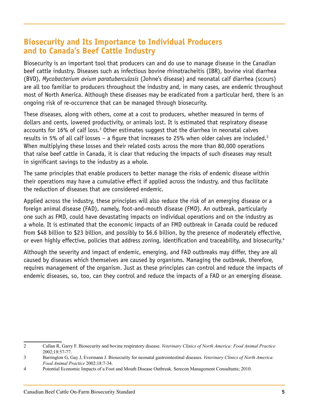#### **Biosecurity and Its Importance to Individual Producers and to Canada's Beef Cattle Industry**

Biosecurity is an important tool that producers can and do use to manage disease in the Canadian beef cattle industry. Diseases such as infectious bovine rhinotracheitis (IBR), bovine viral diarrhea (BVD), *Mycobacterium avium paratuberculosis* (Johne's disease) and neonatal calf diarrhea (scours) are all too familiar to producers throughout the industry and, in many cases, are endemic throughout most of North America. Although these diseases may be eradicated from a particular herd, there is an ongoing risk of re-occurrence that can be managed through biosecurity.

These diseases, along with others, come at a cost to producers, whether measured in terms of dollars and cents, lowered productivity, or animals lost. It is estimated that respiratory disease accounts for 16% of calf loss.<sup>2</sup> Other estimates suggest that the diarrhea in neonatal calves results in 5% of all calf losses – a figure that increases to 25% when older calves are included.3 When multiplying these losses and their related costs across the more than 80,000 operations that raise beef cattle in Canada, it is clear that reducing the impacts of such diseases may result in significant savings to the industry as a whole.

The same principles that enable producers to better manage the risks of endemic disease within their operations may have a cumulative effect if applied across the industry, and thus facilitate the reduction of diseases that are considered endemic.

Applied across the industry, these principles will also reduce the risk of an emerging disease or a foreign animal disease (FAD), namely, foot-and-mouth disease (FMD). An outbreak, particularly one such as FMD, could have devastating impacts on individual operations and on the industry as a whole. It is estimated that the economic impacts of an FMD outbreak in Canada could be reduced from \$48 billion to \$23 billion, and possibly to \$6.6 billion, by the presence of moderately effective, or even highly effective, policies that address zoning, identification and traceability, and biosecurity.<sup>4</sup>

Although the severity and impact of endemic, emerging, and FAD outbreaks may differ, they are all caused by diseases which themselves are caused by organisms. Managing the outbreak, therefore, requires management of the organism. Just as these principles can control and reduce the impacts of endemic diseases, so, too, can they control and reduce the impacts of a FAD or an emerging disease.

<sup>2</sup>  Callan R, Garry F. Biosecurity and bovine respiratory disease. *Veterinary Clinics of North America: Food Animal Practice* 2002;18:57-77.

<sup>3</sup>  Barrington G, Gay J, Evermann J. Biosecurity for neonatal gastrointestinal diseases. *Veterinary Clinics of North America: Food Animal Practice* 2002;18:7-34.

<sup>4</sup> Potential Economic Impacts of a Foot and Mouth Disease Outbreak. Serecon Management Consultants; 2010.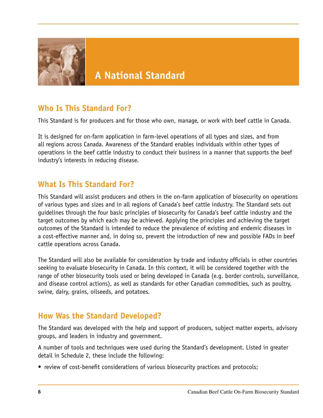

## **Who Is This Standard For?**

This Standard is for producers and for those who own, manage, or work with beef cattle in Canada.

It is designed for on-farm application in farm-level operations of all types and sizes, and from all regions across Canada. Awareness of the Standard enables individuals within other types of operations in the beef cattle industry to conduct their business in a manner that supports the beef industry's interests in reducing disease.

#### **What Is This Standard For?**

This Standard will assist producers and others in the on-farm application of biosecurity on operations of various types and sizes and in all regions of Canada's beef cattle industry. The Standard sets out guidelines through the four basic principles of biosecurity for Canada's beef cattle industry and the target outcomes by which each may be achieved. Applying the principles and achieving the target outcomes of the Standard is intended to reduce the prevalence of existing and endemic diseases in a cost-effective manner and, in doing so, prevent the introduction of new and possible FADs in beef cattle operations across Canada.

The Standard will also be available for consideration by trade and industry officials in other countries seeking to evaluate biosecurity in Canada. In this context, it will be considered together with the range of other biosecurity tools used or being developed in Canada (e.g. border controls, surveillance, and disease control actions), as well as standards for other Canadian commodities, such as poultry, swine, dairy, grains, oilseeds, and potatoes.

#### **How Was the Standard Developed?**

The Standard was developed with the help and support of producers, subject matter experts, advisory groups, and leaders in industry and government.

A number of tools and techniques were used during the Standard's development. Listed in greater detail in Schedule 2, these include the following:

• review of cost-benefit considerations of various biosecurity practices and protocols;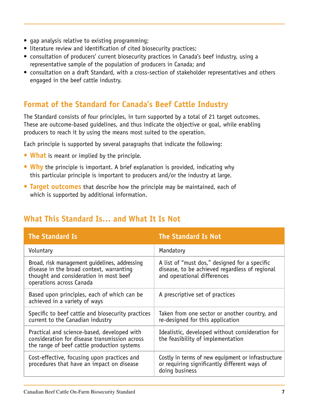- gap analysis relative to existing programming;
- literature review and identification of cited biosecurity practices;
- consultation of producers' current biosecurity practices in Canada's beef industry, using a representative sample of the population of producers in Canada; and
- consultation on a draft Standard, with a cross-section of stakeholder representatives and others engaged in the beef cattle industry.

## **Format of the Standard for Canada's Beef Cattle Industry**

The Standard consists of four principles, in turn supported by a total of 21 target outcomes. These are outcome-based guidelines, and thus indicate the objective or goal, while enabling producers to reach it by using the means most suited to the operation.

Each principle is supported by several paragraphs that indicate the following:

- **• What** is meant or implied by the principle.
- **• Why** the principle is important. A brief explanation is provided, indicating why this particular principle is important to producers and/or the industry at large.
- **• Target outcomes** that describe how the principle may be maintained, each of which is supported by additional information.

## **What This Standard Is… and What It Is Not**

| <b>The Standard Is</b>                                                                                                                                          | <b>The Standard Is Not</b>                                                                                                     |
|-----------------------------------------------------------------------------------------------------------------------------------------------------------------|--------------------------------------------------------------------------------------------------------------------------------|
| Voluntary                                                                                                                                                       | Mandatory                                                                                                                      |
| Broad, risk management quidelines, addressing<br>disease in the broad context, warranting<br>thought and consideration in most beef<br>operations across Canada | A list of "must dos," designed for a specific<br>disease, to be achieved regardless of regional<br>and operational differences |
| Based upon principles, each of which can be<br>achieved in a variety of ways                                                                                    | A prescriptive set of practices                                                                                                |
| Specific to beef cattle and biosecurity practices<br>current to the Canadian industry                                                                           | Taken from one sector or another country, and<br>re-designed for this application                                              |
| Practical and science-based, developed with<br>consideration for disease transmission across<br>the range of beef cattle production systems                     | Idealistic, developed without consideration for<br>the feasibility of implementation                                           |
| Cost-effective, focusing upon practices and<br>procedures that have an impact on disease                                                                        | Costly in terms of new equipment or infrastructure<br>or requiring significantly different ways of<br>doing business           |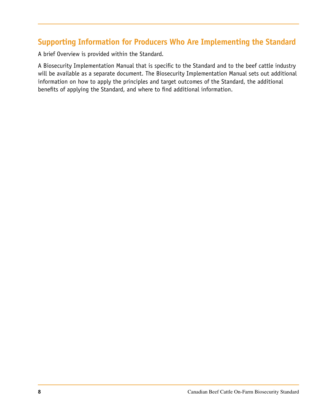# **Supporting Information for Producers Who Are Implementing the Standard**

A brief Overview is provided within the Standard.

A Biosecurity Implementation Manual that is specific to the Standard and to the beef cattle industry will be available as a separate document. The Biosecurity Implementation Manual sets out additional information on how to apply the principles and target outcomes of the Standard, the additional benefits of applying the Standard, and where to find additional information.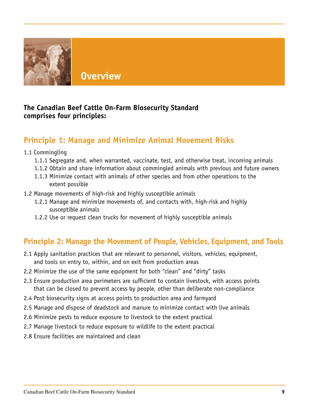

**Overview**

#### **The Canadian Beef Cattle On-Farm Biosecurity Standard comprises four principles:**

## **Principle 1: Manage and Minimize Animal Movement Risks**

- 1.1 Commingling
	- 1.1.1 Segregate and, when warranted, vaccinate, test, and otherwise treat, incoming animals
	- 1.1.2 Obtain and share information about commingled animals with previous and future owners
	- 1.1.3 Minimize contact with animals of other species and from other operations to the extent possible
- 1.2 Manage movements of high-risk and highly susceptible animals
	- 1.2.1 Manage and minimize movements of, and contacts with, high-risk and highly susceptible animals
	- 1.2.2 Use or request clean trucks for movement of highly susceptible animals

## **Principle 2: Manage the Movement of People, Vehicles, Equipment, and Tools**

- 2.1 Apply sanitation practices that are relevant to personnel, visitors, vehicles, equipment, and tools on entry to, within, and on exit from production areas
- 2.2 Minimize the use of the same equipment for both "clean" and "dirty" tasks
- 2.3 Ensure production area perimeters are sufficient to contain livestock, with access points that can be closed to prevent access by people, other than deliberate non-compliance
- 2.4 Post biosecurity signs at access points to production area and farmyard
- 2.5 Manage and dispose of deadstock and manure to minimize contact with live animals
- 2.6 Minimize pests to reduce exposure to livestock to the extent practical
- 2.7 Manage livestock to reduce exposure to wildlife to the extent practical
- 2.8 Ensure facilities are maintained and clean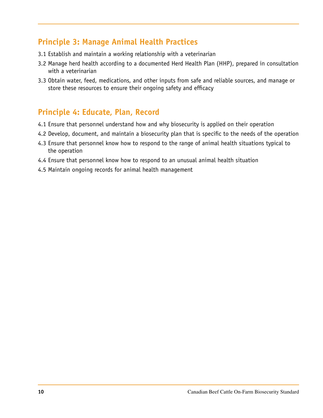#### **Principle 3: Manage Animal Health Practices**

- 3.1 Establish and maintain a working relationship with a veterinarian
- 3.2 Manage herd health according to a documented Herd Health Plan (HHP), prepared in consultation with a veterinarian
- 3.3 Obtain water, feed, medications, and other inputs from safe and reliable sources, and manage or store these resources to ensure their ongoing safety and efficacy

#### **Principle 4: Educate, Plan, Record**

- 4.1 Ensure that personnel understand how and why biosecurity is applied on their operation
- 4.2 Develop, document, and maintain a biosecurity plan that is specific to the needs of the operation
- 4.3 Ensure that personnel know how to respond to the range of animal health situations typical to the operation
- 4.4 Ensure that personnel know how to respond to an unusual animal health situation
- 4.5 Maintain ongoing records for animal health management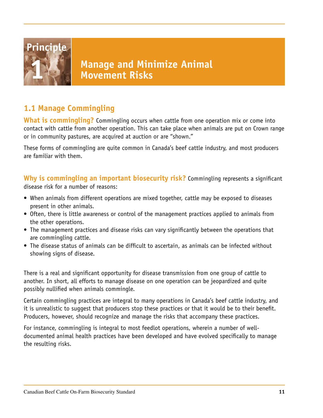

# **Manage and Minimize Animal 1 Movement Risks**

# **1.1 Manage Commingling**

**What is commingling?** Commingling occurs when cattle from one operation mix or come into contact with cattle from another operation. This can take place when animals are put on Crown range or in community pastures, are acquired at auction or are "shown."

These forms of commingling are quite common in Canada's beef cattle industry, and most producers are familiar with them.

**Why is commingling an important biosecurity risk?** Commingling represents a significant disease risk for a number of reasons:

- When animals from different operations are mixed together, cattle may be exposed to diseases present in other animals.
- Often, there is little awareness or control of the management practices applied to animals from the other operations.
- The management practices and disease risks can vary significantly between the operations that are commingling cattle.
- The disease status of animals can be difficult to ascertain, as animals can be infected without showing signs of disease.

There is a real and significant opportunity for disease transmission from one group of cattle to another. In short, all efforts to manage disease on one operation can be jeopardized and quite possibly nullified when animals commingle.

Certain commingling practices are integral to many operations in Canada's beef cattle industry, and it is unrealistic to suggest that producers stop these practices or that it would be to their benefit. Producers, however, should recognize and manage the risks that accompany these practices.

For instance, commingling is integral to most feedlot operations, wherein a number of welldocumented animal health practices have been developed and have evolved specifically to manage the resulting risks.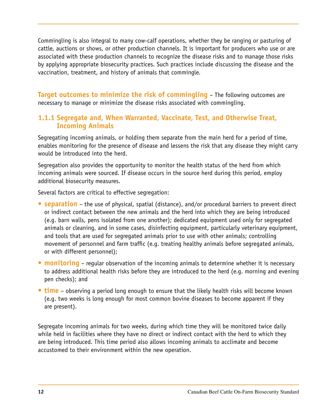Commingling is also integral to many cow-calf operations, whether they be ranging or pasturing of cattle, auctions or shows, or other production channels. It is important for producers who use or are associated with these production channels to recognize the disease risks and to manage those risks by applying appropriate biosecurity practices. Such practices include discussing the disease and the vaccination, treatment, and history of animals that commingle.

**Target outcomes to minimize the risk of commingling** – The following outcomes are necessary to manage or minimize the disease risks associated with commingling.

#### **1.1.1 Segregate and, When Warranted, Vaccinate, Test, and Otherwise Treat, Incoming Animals**

Segregating incoming animals, or holding them separate from the main herd for a period of time, enables monitoring for the presence of disease and lessens the risk that any disease they might carry would be introduced into the herd.

Segregation also provides the opportunity to monitor the health status of the herd from which incoming animals were sourced. If disease occurs in the source herd during this period, employ additional biosecurity measures.

Several factors are critical to effective segregation:

- **• separation** the use of physical, spatial (distance), and/or procedural barriers to prevent direct or indirect contact between the new animals and the herd into which they are being introduced (e.g. barn walls, pens isolated from one another); dedicated equipment used only for segregated animals or cleaning, and in some cases, disinfecting equipment, particularly veterinary equipment, and tools that are used for segregated animals prior to use with other animals; controlling movement of personnel and farm traffic (e.g. treating healthy animals before segregated animals, or with different personnel);
- **• monitoring** regular observation of the incoming animals to determine whether it is necessary to address additional health risks before they are introduced to the herd (e.g. morning and evening pen checks); and
- **• time** observing a period long enough to ensure that the likely health risks will become known (e.g. two weeks is long enough for most common bovine diseases to become apparent if they are present).

Segregate incoming animals for two weeks, during which time they will be monitored twice daily while held in facilities where they have no direct or indirect contact with the herd to which they are being introduced. This time period also allows incoming animals to acclimate and become accustomed to their environment within the new operation.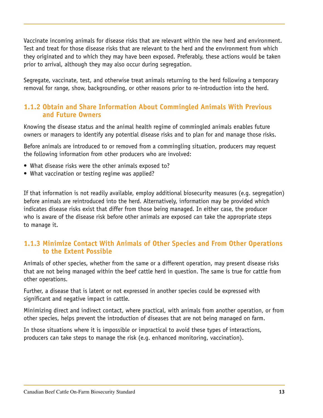Vaccinate incoming animals for disease risks that are relevant within the new herd and environment. Test and treat for those disease risks that are relevant to the herd and the environment from which they originated and to which they may have been exposed. Preferably, these actions would be taken prior to arrival, although they may also occur during segregation.

Segregate, vaccinate, test, and otherwise treat animals returning to the herd following a temporary removal for range, show, backgrounding, or other reasons prior to re-introduction into the herd.

#### **1.1.2 Obtain and Share Information About Commingled Animals With Previous and Future Owners**

Knowing the disease status and the animal health regime of commingled animals enables future owners or managers to identify any potential disease risks and to plan for and manage those risks.

Before animals are introduced to or removed from a commingling situation, producers may request the following information from other producers who are involved:

- What disease risks were the other animals exposed to?
- What vaccination or testing regime was applied?

If that information is not readily available, employ additional biosecurity measures (e.g. segregation) before animals are reintroduced into the herd. Alternatively, information may be provided which indicates disease risks exist that differ from those being managed. In either case, the producer who is aware of the disease risk before other animals are exposed can take the appropriate steps to manage it.

#### **1.1.3 Minimize Contact With Animals of Other Species and From Other Operations to the Extent Possible**

Animals of other species, whether from the same or a different operation, may present disease risks that are not being managed within the beef cattle herd in question. The same is true for cattle from other operations.

Further, a disease that is latent or not expressed in another species could be expressed with significant and negative impact in cattle.

Minimizing direct and indirect contact, where practical, with animals from another operation, or from other species, helps prevent the introduction of diseases that are not being managed on farm.

In those situations where it is impossible or impractical to avoid these types of interactions, producers can take steps to manage the risk (e.g. enhanced monitoring, vaccination).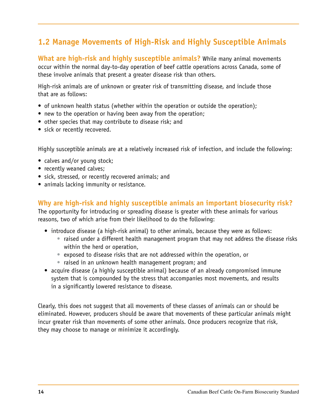# **1.2 Manage Movements of High-Risk and Highly Susceptible Animals**

**What are high-risk and highly susceptible animals?** While many animal movements occur within the normal day-to-day operation of beef cattle operations across Canada, some of these involve animals that present a greater disease risk than others.

High-risk animals are of unknown or greater risk of transmitting disease, and include those that are as follows:

- of unknown health status (whether within the operation or outside the operation);
- new to the operation or having been away from the operation;
- other species that may contribute to disease risk; and
- sick or recently recovered.

Highly susceptible animals are at a relatively increased risk of infection, and include the following:

- calves and/or young stock;
- recently weaned calves;
- sick, stressed, or recently recovered animals; and
- animals lacking immunity or resistance.

**Why are high-risk and highly susceptible animals an important biosecurity risk?**

The opportunity for introducing or spreading disease is greater with these animals for various reasons, two of which arise from their likelihood to do the following:

- introduce disease (a high-risk animal) to other animals, because they were as follows:
	- raised under a different health management program that may not address the disease risks within the herd or operation,
	- exposed to disease risks that are not addressed within the operation, or
	- raised in an unknown health management program; and
- acquire disease (a highly susceptible animal) because of an already compromised immune system that is compounded by the stress that accompanies most movements, and results in a significantly lowered resistance to disease.

Clearly, this does not suggest that all movements of these classes of animals can or should be eliminated. However, producers should be aware that movements of these particular animals might incur greater risk than movements of some other animals. Once producers recognize that risk, they may choose to manage or minimize it accordingly.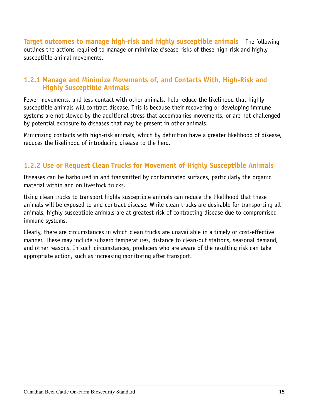**Target outcomes to manage high-risk and highly susceptible animals** – The following outlines the actions required to manage or minimize disease risks of these high-risk and highly susceptible animal movements.

#### **1.2.1 Manage and Minimize Movements of, and Contacts With, High-Risk and Highly Susceptible Animals**

Fewer movements, and less contact with other animals, help reduce the likelihood that highly susceptible animals will contract disease. This is because their recovering or developing immune systems are not slowed by the additional stress that accompanies movements, or are not challenged by potential exposure to diseases that may be present in other animals.

Minimizing contacts with high-risk animals, which by definition have a greater likelihood of disease, reduces the likelihood of introducing disease to the herd.

#### **1.2.2 Use or Request Clean Trucks for Movement of Highly Susceptible Animals**

Diseases can be harboured in and transmitted by contaminated surfaces, particularly the organic material within and on livestock trucks.

Using clean trucks to transport highly susceptible animals can reduce the likelihood that these animals will be exposed to and contract disease. While clean trucks are desirable for transporting all animals, highly susceptible animals are at greatest risk of contracting disease due to compromised immune systems.

Clearly, there are circumstances in which clean trucks are unavailable in a timely or cost-effective manner. These may include subzero temperatures, distance to clean-out stations, seasonal demand, and other reasons. In such circumstances, producers who are aware of the resulting risk can take appropriate action, such as increasing monitoring after transport.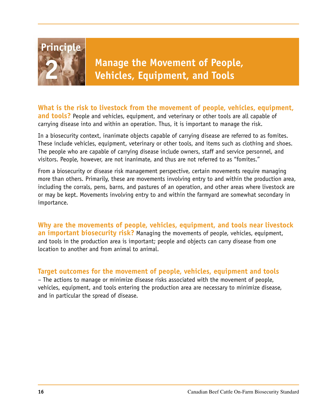

**What is the risk to livestock from the movement of people, vehicles, equipment, and tools?** People and vehicles, equipment, and veterinary or other tools are all capable of carrying disease into and within an operation. Thus, it is important to manage the risk.

In a biosecurity context, inanimate objects capable of carrying disease are referred to as fomites. These include vehicles, equipment, veterinary or other tools, and items such as clothing and shoes. The people who are capable of carrying disease include owners, staff and service personnel, and visitors. People, however, are not inanimate, and thus are not referred to as "fomites."

From a biosecurity or disease risk management perspective, certain movements require managing more than others. Primarily, these are movements involving entry to and within the production area, including the corrals, pens, barns, and pastures of an operation, and other areas where livestock are or may be kept. Movements involving entry to and within the farmyard are somewhat secondary in importance.

**Why are the movements of people, vehicles, equipment, and tools near livestock an important biosecurity risk?** Managing the movements of people, vehicles, equipment, and tools in the production area is important; people and objects can carry disease from one location to another and from animal to animal.

**Target outcomes for the movement of people, vehicles, equipment and tools** – The actions to manage or minimize disease risks associated with the movement of people, vehicles, equipment, and tools entering the production area are necessary to minimize disease, and in particular the spread of disease.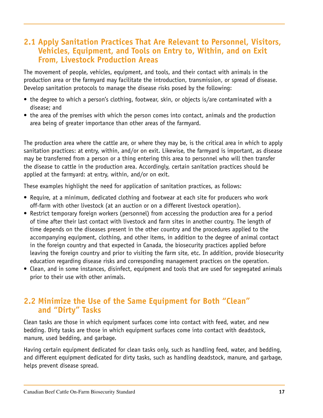#### **2.1 Apply Sanitation Practices That Are Relevant to Personnel, Visitors, Vehicles, Equipment, and Tools on Entry to, Within, and on Exit From, Livestock Production Areas**

The movement of people, vehicles, equipment, and tools, and their contact with animals in the production area or the farmyard may facilitate the introduction, transmission, or spread of disease. Develop sanitation protocols to manage the disease risks posed by the following:

- the degree to which a person's clothing, footwear, skin, or objects is/are contaminated with a disease; and
- the area of the premises with which the person comes into contact, animals and the production area being of greater importance than other areas of the farmyard.

The production area where the cattle are, or where they may be, is the critical area in which to apply sanitation practices: at entry, within, and/or on exit. Likewise, the farmyard is important, as disease may be transferred from a person or a thing entering this area to personnel who will then transfer the disease to cattle in the production area. Accordingly, certain sanitation practices should be applied at the farmyard: at entry, within, and/or on exit.

These examples highlight the need for application of sanitation practices, as follows:

- Require, at a minimum, dedicated clothing and footwear at each site for producers who work off-farm with other livestock (at an auction or on a different livestock operation).
- Restrict temporary foreign workers (personnel) from accessing the production area for a period of time after their last contact with livestock and farm sites in another country. The length of time depends on the diseases present in the other country and the procedures applied to the accompanying equipment, clothing, and other items, in addition to the degree of animal contact in the foreign country and that expected in Canada, the biosecurity practices applied before leaving the foreign country and prior to visiting the farm site, etc. In addition, provide biosecurity education regarding disease risks and corresponding management practices on the operation.
- Clean, and in some instances, disinfect, equipment and tools that are used for segregated animals prior to their use with other animals.

#### **2.2 Minimize the Use of the Same Equipment for Both "Clean" and "Dirty" Tasks**

Clean tasks are those in which equipment surfaces come into contact with feed, water, and new bedding. Dirty tasks are those in which equipment surfaces come into contact with deadstock, manure, used bedding, and garbage.

Having certain equipment dedicated for clean tasks only, such as handling feed, water, and bedding, and different equipment dedicated for dirty tasks, such as handling deadstock, manure, and garbage, helps prevent disease spread.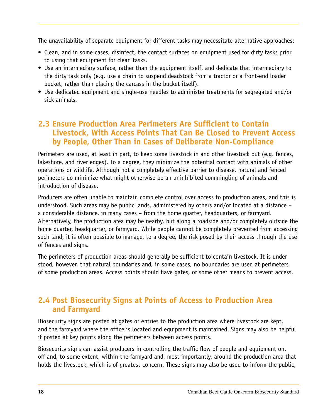The unavailability of separate equipment for different tasks may necessitate alternative approaches:

- Clean, and in some cases, disinfect, the contact surfaces on equipment used for dirty tasks prior to using that equipment for clean tasks.
- Use an intermediary surface, rather than the equipment itself, and dedicate that intermediary to the dirty task only (e.g. use a chain to suspend deadstock from a tractor or a front-end loader bucket, rather than placing the carcass in the bucket itself).
- Use dedicated equipment and single-use needles to administer treatments for segregated and/or sick animals.

#### **2.3 Ensure Production Area Perimeters Are Sufficient to Contain Livestock, With Access Points That Can Be Closed to Prevent Access by People, Other Than in Cases of Deliberate Non-Compliance**

Perimeters are used, at least in part, to keep some livestock in and other livestock out (e.g. fences, lakeshore, and river edges). To a degree, they minimize the potential contact with animals of other operations or wildlife. Although not a completely effective barrier to disease, natural and fenced perimeters do minimize what might otherwise be an uninhibited commingling of animals and introduction of disease.

Producers are often unable to maintain complete control over access to production areas, and this is understood. Such areas may be public lands, administered by others and/or located at a distance – a considerable distance, in many cases – from the home quarter, headquarters, or farmyard. Alternatively, the production area may be nearby, but along a roadside and/or completely outside the home quarter, headquarter, or farmyard. While people cannot be completely prevented from accessing such land, it is often possible to manage, to a degree, the risk posed by their access through the use of fences and signs.

The perimeters of production areas should generally be sufficient to contain livestock. It is understood, however, that natural boundaries and, in some cases, no boundaries are used at perimeters of some production areas. Access points should have gates, or some other means to prevent access.

#### **2.4 Post Biosecurity Signs at Points of Access to Production Area and Farmyard**

Biosecurity signs are posted at gates or entries to the production area where livestock are kept, and the farmyard where the office is located and equipment is maintained. Signs may also be helpful if posted at key points along the perimeters between access points.

Biosecurity signs can assist producers in controlling the traffic flow of people and equipment on, off and, to some extent, within the farmyard and, most importantly, around the production area that holds the livestock, which is of greatest concern. These signs may also be used to inform the public,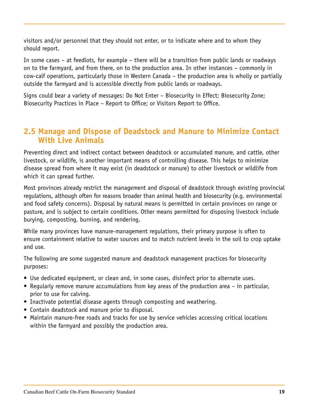visitors and/or personnel that they should not enter, or to indicate where and to whom they should report.

In some cases – at feedlots, for example – there will be a transition from public lands or roadways on to the farmyard, and from there, on to the production area. In other instances – commonly in cow-calf operations, particularly those in Western Canada – the production area is wholly or partially outside the farmyard and is accessible directly from public lands or roadways.

Signs could bear a variety of messages: Do Not Enter – Biosecurity in Effect; Biosecurity Zone; Biosecurity Practices in Place – Report to Office; or Visitors Report to Office.

#### **2.5 Manage and Dispose of Deadstock and Manure to Minimize Contact With Live Animals**

Preventing direct and indirect contact between deadstock or accumulated manure, and cattle, other livestock, or wildlife, is another important means of controlling disease. This helps to minimize disease spread from where it may exist (in deadstock or manure) to other livestock or wildlife from which it can spread further.

Most provinces already restrict the management and disposal of deadstock through existing provincial regulations, although often for reasons broader than animal health and biosecurity (e.g. environmental and food safety concerns). Disposal by natural means is permitted in certain provinces on range or pasture, and is subject to certain conditions. Other means permitted for disposing livestock include burying, composting, burning, and rendering.

While many provinces have manure-management regulations, their primary purpose is often to ensure containment relative to water sources and to match nutrient levels in the soil to crop uptake and use.

The following are some suggested manure and deadstock management practices for biosecurity purposes:

- Use dedicated equipment, or clean and, in some cases, disinfect prior to alternate uses.
- Regularly remove manure accumulations from key areas of the production area in particular, prior to use for calving.
- Inactivate potential disease agents through composting and weathering.
- Contain deadstock and manure prior to disposal.
- Maintain manure-free roads and tracks for use by service vehicles accessing critical locations within the farmyard and possibly the production area.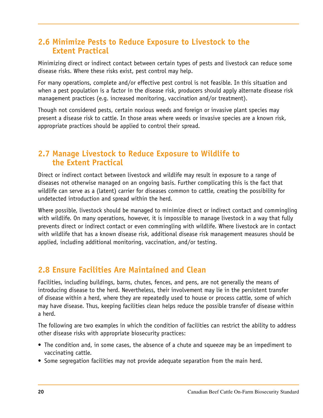#### **2.6 Minimize Pests to Reduce Exposure to Livestock to the Extent Practical**

Minimizing direct or indirect contact between certain types of pests and livestock can reduce some disease risks. Where these risks exist, pest control may help.

For many operations, complete and/or effective pest control is not feasible. In this situation and when a pest population is a factor in the disease risk, producers should apply alternate disease risk management practices (e.g. increased monitoring, vaccination and/or treatment).

Though not considered pests, certain noxious weeds and foreign or invasive plant species may present a disease risk to cattle. In those areas where weeds or invasive species are a known risk, appropriate practices should be applied to control their spread.

#### **2.7 Manage Livestock to Reduce Exposure to Wildlife to the Extent Practical**

Direct or indirect contact between livestock and wildlife may result in exposure to a range of diseases not otherwise managed on an ongoing basis. Further complicating this is the fact that wildlife can serve as a (latent) carrier for diseases common to cattle, creating the possibility for undetected introduction and spread within the herd.

Where possible, livestock should be managed to minimize direct or indirect contact and commingling with wildlife. On many operations, however, it is impossible to manage livestock in a way that fully prevents direct or indirect contact or even commingling with wildlife. Where livestock are in contact with wildlife that has a known disease risk, additional disease risk management measures should be applied, including additional monitoring, vaccination, and/or testing.

## **2.8 Ensure Facilities Are Maintained and Clean**

Facilities, including buildings, barns, chutes, fences, and pens, are not generally the means of introducing disease to the herd. Nevertheless, their involvement may lie in the persistent transfer of disease within a herd, where they are repeatedly used to house or process cattle, some of which may have disease. Thus, keeping facilities clean helps reduce the possible transfer of disease within a herd.

The following are two examples in which the condition of facilities can restrict the ability to address other disease risks with appropriate biosecurity practices:

- The condition and, in some cases, the absence of a chute and squeeze may be an impediment to vaccinating cattle.
- Some segregation facilities may not provide adequate separation from the main herd.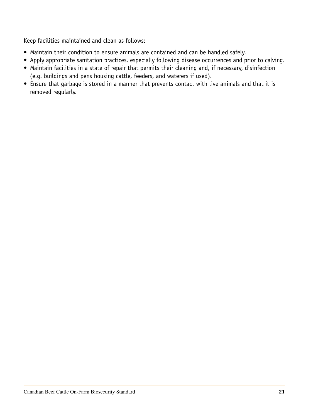Keep facilities maintained and clean as follows:

- Maintain their condition to ensure animals are contained and can be handled safely.
- Apply appropriate sanitation practices, especially following disease occurrences and prior to calving.
- Maintain facilities in a state of repair that permits their cleaning and, if necessary, disinfection (e.g. buildings and pens housing cattle, feeders, and waterers if used).
- Ensure that garbage is stored in a manner that prevents contact with live animals and that it is removed regularly.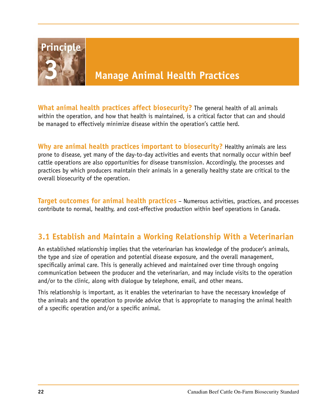

**What animal health practices affect biosecurity?** The general health of all animals within the operation, and how that health is maintained, is a critical factor that can and should be managed to effectively minimize disease within the operation's cattle herd.

**Why are animal health practices important to biosecurity?** Healthy animals are less prone to disease, yet many of the day-to-day activities and events that normally occur within beef cattle operations are also opportunities for disease transmission. Accordingly, the processes and practices by which producers maintain their animals in a generally healthy state are critical to the overall biosecurity of the operation.

**Target outcomes for animal health practices** – Numerous activities, practices, and processes contribute to normal, healthy, and cost-effective production within beef operations in Canada.

## **3.1 Establish and Maintain a Working Relationship With a Veterinarian**

An established relationship implies that the veterinarian has knowledge of the producer's animals, the type and size of operation and potential disease exposure, and the overall management, specifically animal care. This is generally achieved and maintained over time through ongoing communication between the producer and the veterinarian, and may include visits to the operation and/or to the clinic, along with dialogue by telephone, email, and other means.

This relationship is important, as it enables the veterinarian to have the necessary knowledge of the animals and the operation to provide advice that is appropriate to managing the animal health of a specific operation and/or a specific animal.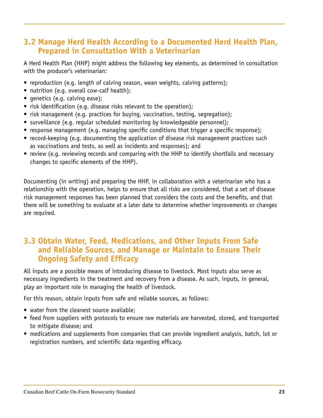#### **3.2 Manage Herd Health According to a Documented Herd Health Plan, Prepared in Consultation With a Veterinarian**

A Herd Health Plan (HHP) might address the following key elements, as determined in consultation with the producer's veterinarian:

- reproduction (e.g. length of calving season, wean weights, calving patterns);
- nutrition (e.g. overall cow-calf health);
- genetics (e.g. calving ease);
- risk identification (e.g. disease risks relevant to the operation);
- risk management (e.g. practices for buying, vaccination, testing, segregation);
- surveillance (e.g. regular scheduled monitoring by knowledgeable personnel);
- response management (e.g. managing specific conditions that trigger a specific response);
- record-keeping (e.g. documenting the application of disease risk management practices such as vaccinations and tests, as well as incidents and responses); and
- review (e.g. reviewing records and comparing with the HHP to identify shortfalls and necessary changes to specific elements of the HHP).

Documenting (in writing) and preparing the HHP, in collaboration with a veterinarian who has a relationship with the operation, helps to ensure that all risks are considered, that a set of disease risk management responses has been planned that considers the costs and the benefits, and that there will be something to evaluate at a later date to determine whether improvements or changes are required.

#### **3.3 Obtain Water, Feed, Medications, and Other Inputs From Safe and Reliable Sources, and Manage or Maintain to Ensure Their Ongoing Safety and Efficacy**

All inputs are a possible means of introducing disease to livestock. Most inputs also serve as necessary ingredients in the treatment and recovery from a disease. As such, inputs, in general, play an important role in managing the health of livestock.

For this reason, obtain inputs from safe and reliable sources, as follows:

- water from the cleanest source available;
- feed from suppliers with protocols to ensure raw materials are harvested, stored, and transported to mitigate disease; and
- medications and supplements from companies that can provide ingredient analysis, batch, lot or registration numbers, and scientific data regarding efficacy.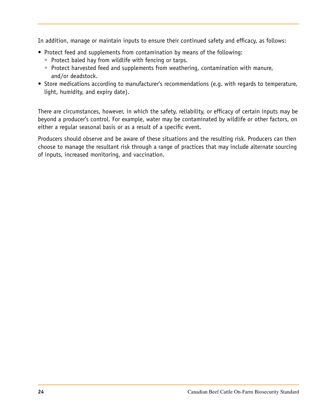In addition, manage or maintain inputs to ensure their continued safety and efficacy, as follows:

- Protect feed and supplements from contamination by means of the following:
	- Protect baled hay from wildlife with fencing or tarps.
	- Protect harvested feed and supplements from weathering, contamination with manure, and/or deadstock.
- Store medications according to manufacturer's recommendations (e.g. with regards to temperature, light, humidity, and expiry date).

There are circumstances, however, in which the safety, reliability, or efficacy of certain inputs may be beyond a producer's control. For example, water may be contaminated by wildlife or other factors, on either a regular seasonal basis or as a result of a specific event.

Producers should observe and be aware of these situations and the resulting risk. Producers can then choose to manage the resultant risk through a range of practices that may include alternate sourcing of inputs, increased monitoring, and vaccination.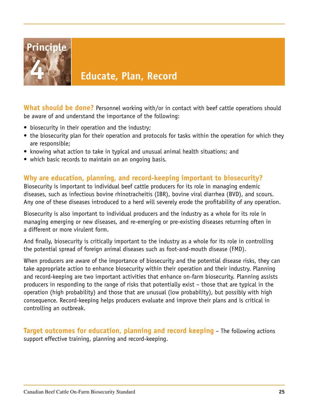

# **4 Educate, Plan, Record**

**What should be done?** Personnel working with/or in contact with beef cattle operations should be aware of and understand the importance of the following:

- biosecurity in their operation and the industry;
- the biosecurity plan for their operation and protocols for tasks within the operation for which they are responsible;
- knowing what action to take in typical and unusual animal health situations; and
- which basic records to maintain on an ongoing basis.

#### **Why are education, planning, and record-keeping important to biosecurity?**

Biosecurity is important to individual beef cattle producers for its role in managing endemic diseases, such as infectious bovine rhinotracheitis (IBR), bovine viral diarrhea (BVD), and scours. Any one of these diseases introduced to a herd will severely erode the profitability of any operation.

Biosecurity is also important to individual producers and the industry as a whole for its role in managing emerging or new diseases, and re-emerging or pre-existing diseases returning often in a different or more virulent form.

And finally, biosecurity is critically important to the industry as a whole for its role in controlling the potential spread of foreign animal diseases such as foot-and-mouth disease (FMD).

When producers are aware of the importance of biosecurity and the potential disease risks, they can take appropriate action to enhance biosecurity within their operation and their industry. Planning and record-keeping are two important activities that enhance on-farm biosecurity. Planning assists producers in responding to the range of risks that potentially exist – those that are typical in the operation (high probability) and those that are unusual (low probability), but possibly with high consequence. Record-keeping helps producers evaluate and improve their plans and is critical in controlling an outbreak.

**Target outcomes for education, planning and record keeping** – The following actions support effective training, planning and record-keeping.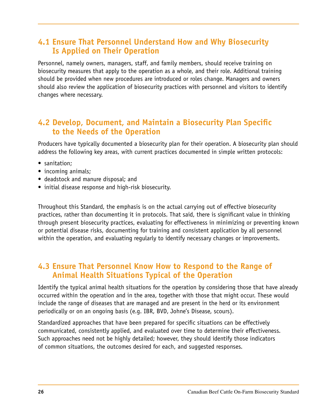#### **4.1 Ensure That Personnel Understand How and Why Biosecurity Is Applied on Their Operation**

Personnel, namely owners, managers, staff, and family members, should receive training on biosecurity measures that apply to the operation as a whole, and their role. Additional training should be provided when new procedures are introduced or roles change. Managers and owners should also review the application of biosecurity practices with personnel and visitors to identify changes where necessary.

#### **4.2 Develop, Document, and Maintain a Biosecurity Plan Specific to the Needs of the Operation**

Producers have typically documented a biosecurity plan for their operation. A biosecurity plan should address the following key areas, with current practices documented in simple written protocols:

- sanitation;
- incoming animals;
- deadstock and manure disposal; and
- initial disease response and high-risk biosecurity.

Throughout this Standard, the emphasis is on the actual carrying out of effective biosecurity practices, rather than documenting it in protocols. That said, there is significant value in thinking through present biosecurity practices, evaluating for effectiveness in minimizing or preventing known or potential disease risks, documenting for training and consistent application by all personnel within the operation, and evaluating regularly to identify necessary changes or improvements.

#### **4.3 Ensure That Personnel Know How to Respond to the Range of Animal Health Situations Typical of the Operation**

Identify the typical animal health situations for the operation by considering those that have already occurred within the operation and in the area, together with those that might occur. These would include the range of diseases that are managed and are present in the herd or its environment periodically or on an ongoing basis (e.g. IBR, BVD, Johne's Disease, scours).

Standardized approaches that have been prepared for specific situations can be effectively communicated, consistently applied, and evaluated over time to determine their effectiveness. Such approaches need not be highly detailed; however, they should identify those indicators of common situations, the outcomes desired for each, and suggested responses.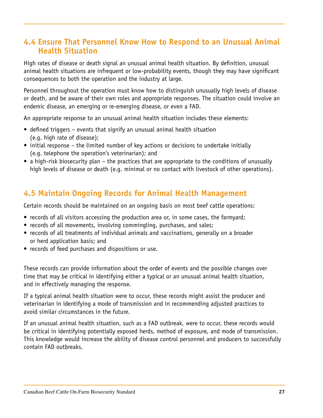#### **4.4 Ensure That Personnel Know How to Respond to an Unusual Animal Health Situation**

High rates of disease or death signal an unusual animal health situation. By definition, unusual animal health situations are infrequent or low-probability events, though they may have significant consequences to both the operation and the industry at large.

Personnel throughout the operation must know how to distinguish unusually high levels of disease or death, and be aware of their own roles and appropriate responses. The situation could involve an endemic disease, an emerging or re-emerging disease, or even a FAD.

An appropriate response to an unusual animal health situation includes these elements:

- defined triggers events that signify an unusual animal health situation (e.g. high rate of disease);
- initial response the limited number of key actions or decisions to undertake initially (e.g. telephone the operation's veterinarian); and
- a high-risk biosecurity plan the practices that are appropriate to the conditions of unusually high levels of disease or death (e.g. minimal or no contact with livestock of other operations).

#### **4.5 Maintain Ongoing Records for Animal Health Management**

Certain records should be maintained on an ongoing basis on most beef cattle operations:

- records of all visitors accessing the production area or, in some cases, the farmyard;
- records of all movements, involving commingling, purchases, and sales;
- records of all treatments of individual animals and vaccinations, generally on a broader or herd application basis; and
- records of feed purchases and dispositions or use.

These records can provide information about the order of events and the possible changes over time that may be critical in identifying either a typical or an unusual animal health situation, and in effectively managing the response.

If a typical animal health situation were to occur, these records might assist the producer and veterinarian in identifying a mode of transmission and in recommending adjusted practices to avoid similar circumstances in the future.

If an unusual animal health situation, such as a FAD outbreak, were to occur, these records would be critical in identifying potentially exposed herds, method of exposure, and mode of transmission. This knowledge would increase the ability of disease control personnel and producers to successfully contain FAD outbreaks.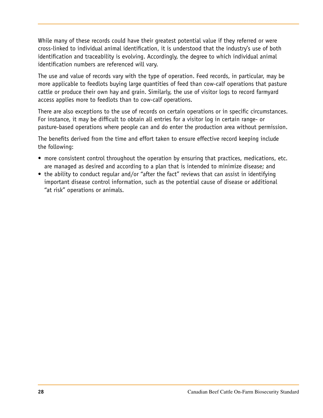While many of these records could have their greatest potential value if they referred or were cross-linked to individual animal identification, it is understood that the industry's use of both identification and traceability is evolving. Accordingly, the degree to which individual animal identification numbers are referenced will vary.

The use and value of records vary with the type of operation. Feed records, in particular, may be more applicable to feedlots buying large quantities of feed than cow-calf operations that pasture cattle or produce their own hay and grain. Similarly, the use of visitor logs to record farmyard access applies more to feedlots than to cow-calf operations.

There are also exceptions to the use of records on certain operations or in specific circumstances. For instance, it may be difficult to obtain all entries for a visitor log in certain range- or pasture-based operations where people can and do enter the production area without permission.

The benefits derived from the time and effort taken to ensure effective record keeping include the following:

- more consistent control throughout the operation by ensuring that practices, medications, etc. are managed as desired and according to a plan that is intended to minimize disease; and
- the ability to conduct regular and/or "after the fact" reviews that can assist in identifying important disease control information, such as the potential cause of disease or additional "at risk" operations or animals.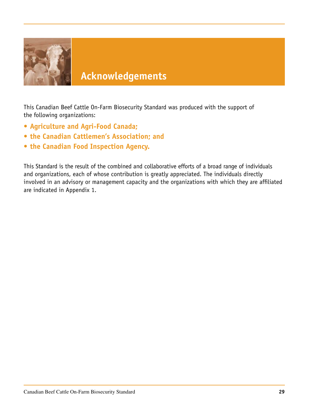

# **Acknowledgements**

This Canadian Beef Cattle On-Farm Biosecurity Standard was produced with the support of the following organizations:

- **• Agriculture and Agri-Food Canada;**
- **• the Canadian Cattlemen's Association; and**
- **• the Canadian Food Inspection Agency.**

This Standard is the result of the combined and collaborative efforts of a broad range of individuals and organizations, each of whose contribution is greatly appreciated. The individuals directly involved in an advisory or management capacity and the organizations with which they are affiliated are indicated in Appendix 1.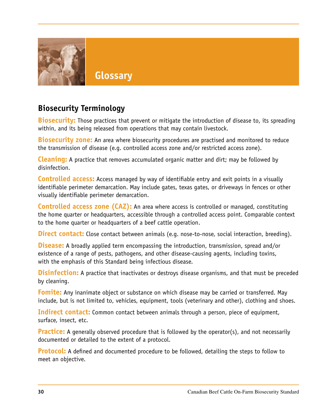

# **Biosecurity Terminology**

**Biosecurity:** Those practices that prevent or mitigate the introduction of disease to, its spreading within, and its being released from operations that may contain livestock.

**Biosecurity zone:** An area where biosecurity procedures are practised and monitored to reduce the transmission of disease (e.g. controlled access zone and/or restricted access zone).

**Cleaning:** A practice that removes accumulated organic matter and dirt; may be followed by disinfection.

**Controlled access:** Access managed by way of identifiable entry and exit points in a visually identifiable perimeter demarcation. May include gates, texas gates, or driveways in fences or other visually identifiable perimeter demarcation.

**Controlled access zone (CAZ):** An area where access is controlled or managed, constituting the home quarter or headquarters, accessible through a controlled access point. Comparable context to the home quarter or headquarters of a beef cattle operation.

**Direct contact:** Close contact between animals (e.g. nose-to-nose, social interaction, breeding).

**Disease:** A broadly applied term encompassing the introduction, transmission, spread and/or existence of a range of pests, pathogens, and other disease-causing agents, including toxins, with the emphasis of this Standard being infectious disease.

**Disinfection:** A practice that inactivates or destroys disease organisms, and that must be preceded by cleaning.

**Fomite:** Any inanimate object or substance on which disease may be carried or transferred. May include, but is not limited to, vehicles, equipment, tools (veterinary and other), clothing and shoes.

**Indirect contact:** Common contact between animals through a person, piece of equipment, surface, insect, etc.

**Practice:** A generally observed procedure that is followed by the operator(s), and not necessarily documented or detailed to the extent of a protocol.

**Protocol:** A defined and documented procedure to be followed, detailing the steps to follow to meet an objective.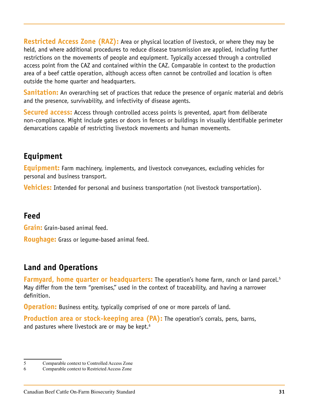**Restricted Access Zone (RAZ):** Area or physical location of livestock, or where they may be held, and where additional procedures to reduce disease transmission are applied, including further restrictions on the movements of people and equipment. Typically accessed through a controlled access point from the CAZ and contained within the CAZ. Comparable in context to the production area of a beef cattle operation, although access often cannot be controlled and location is often outside the home quarter and headquarters.

**Sanitation:** An overarching set of practices that reduce the presence of organic material and debris and the presence, survivability, and infectivity of disease agents.

**Secured access:** Access through controlled access points is prevented, apart from deliberate non-compliance. Might include gates or doors in fences or buildings in visually identifiable perimeter demarcations capable of restricting livestock movements and human movements.

# **Equipment**

**Equipment:** Farm machinery, implements, and livestock conveyances, excluding vehicles for personal and business transport.

**Vehicles:** Intended for personal and business transportation (not livestock transportation).

## **Feed**

**Grain:** Grain-based animal feed.

**Roughage:** Grass or legume-based animal feed.

# **Land and Operations**

**Farmyard, home quarter or headquarters:** The operation's home farm, ranch or land parcel.<sup>5</sup> May differ from the term "premises," used in the context of traceability, and having a narrower definition.

**Operation:** Business entity, typically comprised of one or more parcels of land.

**Production area or stock-keeping area (PA):** The operation's corrals, pens, barns, and pastures where livestock are or may be kept. $6$ 

<sup>5</sup> Comparable context to Controlled Access Zone

<sup>6</sup> Comparable context to Restricted Access Zone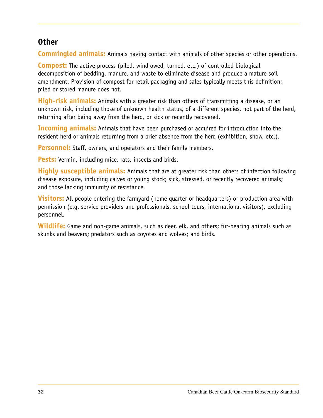#### **Other**

**Commingled animals:** Animals having contact with animals of other species or other operations.

**Compost:** The active process (piled, windrowed, turned, etc.) of controlled biological decomposition of bedding, manure, and waste to eliminate disease and produce a mature soil amendment. Provision of compost for retail packaging and sales typically meets this definition; piled or stored manure does not.

**High-risk animals:** Animals with a greater risk than others of transmitting a disease, or an unknown risk, including those of unknown health status, of a different species, not part of the herd, returning after being away from the herd, or sick or recently recovered.

**Incoming animals:** Animals that have been purchased or acquired for introduction into the resident herd or animals returning from a brief absence from the herd (exhibition, show, etc.).

**Personnel:** Staff, owners, and operators and their family members.

**Pests:** Vermin, including mice, rats, insects and birds.

**Highly susceptible animals:** Animals that are at greater risk than others of infection following disease exposure, including calves or young stock; sick, stressed, or recently recovered animals; and those lacking immunity or resistance.

**Visitors:** All people entering the farmyard (home quarter or headquarters) or production area with permission (e.g. service providers and professionals, school tours, international visitors), excluding personnel.

**Wildlife:** Game and non-game animals, such as deer, elk, and others; fur-bearing animals such as skunks and beavers; predators such as coyotes and wolves; and birds.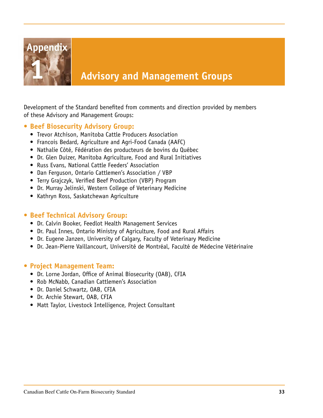

# **1 Advisory and Management Groups**

Development of the Standard benefited from comments and direction provided by members of these Advisory and Management Groups:

#### **• Beef Biosecurity Advisory Group:**

- Trevor Atchison, Manitoba Cattle Producers Association
- Francois Bedard, Agriculture and Agri-Food Canada (AAFC)
- Nathalie Côté, Fédération des producteurs de bovins du Québec
- Dr. Glen Duizer, Manitoba Agriculture, Food and Rural Initiatives
- Russ Evans, National Cattle Feeders' Association
- Dan Ferguson, Ontario Cattlemen's Association / VBP
- Terry Grajczyk, Verified Beef Production (VBP) Program
- Dr. Murray Jelinski, Western College of Veterinary Medicine
- Kathryn Ross, Saskatchewan Agriculture

#### **• Beef Technical Advisory Group:**

- Dr. Calvin Booker, Feedlot Health Management Services
- Dr. Paul Innes, Ontario Ministry of Agriculture, Food and Rural Affairs
- Dr. Eugene Janzen, University of Calgary, Faculty of Veterinary Medicine
- Dr. Jean-Pierre Vaillancourt, Université de Montréal, Faculté de Médecine Vétérinaire

#### **• Project Management Team:**

- Dr. Lorne Jordan, Office of Animal Biosecurity (OAB), CFIA
- Rob McNabb, Canadian Cattlemen's Association
- Dr. Daniel Schwartz, OAB, CFIA
- Dr. Archie Stewart, OAB, CFIA
- Matt Taylor, Livestock Intelligence, Project Consultant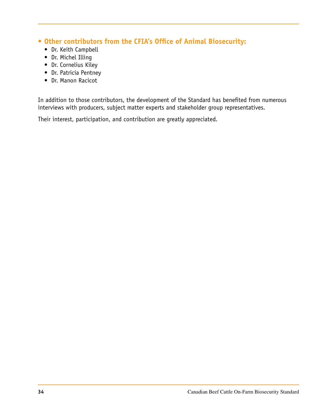- **• Other contributors from the CFIA's Office of Animal Biosecurity:**
	- Dr. Keith Campbell
	- Dr. Michel Illing
	- Dr. Cornelius Kiley
	- Dr. Patricia Pentney
	- Dr. Manon Racicot

In addition to those contributors, the development of the Standard has benefited from numerous interviews with producers, subject matter experts and stakeholder group representatives.

Their interest, participation, and contribution are greatly appreciated.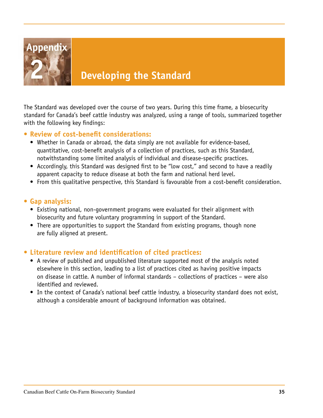

# **2 Developing the Standard**

The Standard was developed over the course of two years. During this time frame, a biosecurity standard for Canada's beef cattle industry was analyzed, using a range of tools, summarized together with the following key findings:

#### **• Review of cost-benefit considerations:**

- Whether in Canada or abroad, the data simply are not available for evidence-based, quantitative, cost-benefit analysis of a collection of practices, such as this Standard, notwithstanding some limited analysis of individual and disease-specific practices.
- Accordingly, this Standard was designed first to be "low cost," and second to have a readily apparent capacity to reduce disease at both the farm and national herd level.
- From this qualitative perspective, this Standard is favourable from a cost-benefit consideration.

#### **• Gap analysis:**

- Existing national, non-government programs were evaluated for their alignment with biosecurity and future voluntary programming in support of the Standard.
- There are opportunities to support the Standard from existing programs, though none are fully aligned at present.

#### **• Literature review and identification of cited practices:**

- A review of published and unpublished literature supported most of the analysis noted elsewhere in this section, leading to a list of practices cited as having positive impacts on disease in cattle. A number of informal standards – collections of practices – were also identified and reviewed.
- In the context of Canada's national beef cattle industry, a biosecurity standard does not exist, although a considerable amount of background information was obtained.